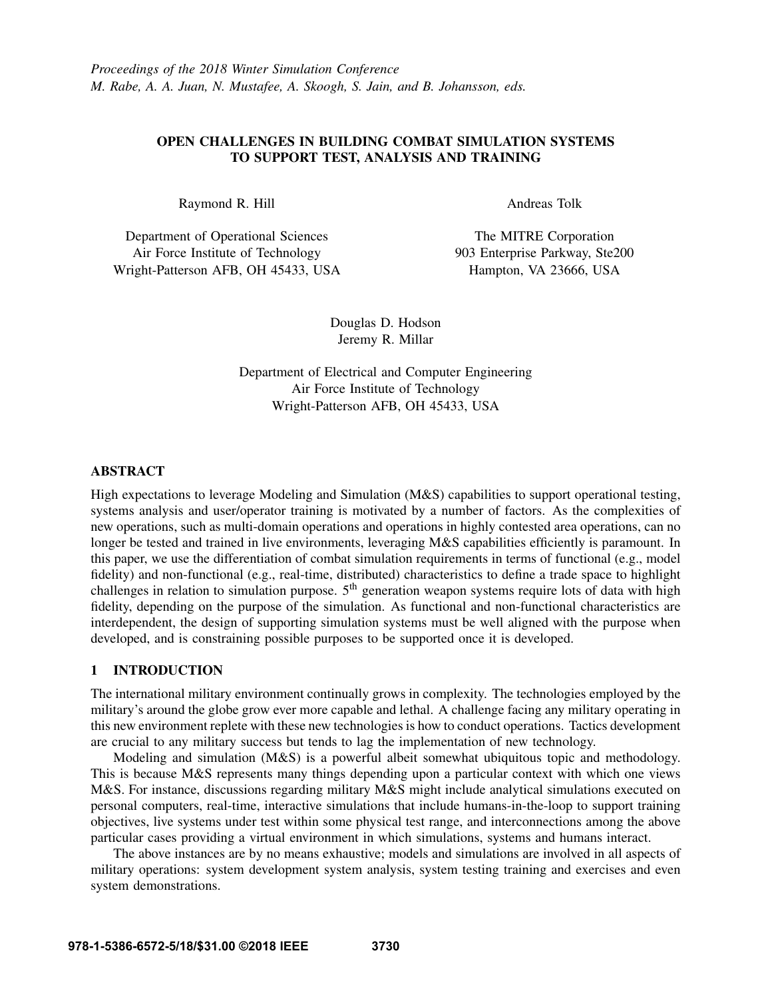# OPEN CHALLENGES IN BUILDING COMBAT SIMULATION SYSTEMS TO SUPPORT TEST, ANALYSIS AND TRAINING

Raymond R. Hill

Department of Operational Sciences Air Force Institute of Technology Wright-Patterson AFB, OH 45433, USA Andreas Tolk

The MITRE Corporation 903 Enterprise Parkway, Ste200 Hampton, VA 23666, USA

Douglas D. Hodson Jeremy R. Millar

Department of Electrical and Computer Engineering Air Force Institute of Technology Wright-Patterson AFB, OH 45433, USA

# ABSTRACT

High expectations to leverage Modeling and Simulation (M&S) capabilities to support operational testing, systems analysis and user/operator training is motivated by a number of factors. As the complexities of new operations, such as multi-domain operations and operations in highly contested area operations, can no longer be tested and trained in live environments, leveraging M&S capabilities efficiently is paramount. In this paper, we use the differentiation of combat simulation requirements in terms of functional (e.g., model fidelity) and non-functional (e.g., real-time, distributed) characteristics to define a trade space to highlight challenges in relation to simulation purpose.  $5<sup>th</sup>$  generation weapon systems require lots of data with high fidelity, depending on the purpose of the simulation. As functional and non-functional characteristics are interdependent, the design of supporting simulation systems must be well aligned with the purpose when developed, and is constraining possible purposes to be supported once it is developed.

## 1 INTRODUCTION

The international military environment continually grows in complexity. The technologies employed by the military's around the globe grow ever more capable and lethal. A challenge facing any military operating in this new environment replete with these new technologies is how to conduct operations. Tactics development are crucial to any military success but tends to lag the implementation of new technology.

Modeling and simulation (M&S) is a powerful albeit somewhat ubiquitous topic and methodology. This is because M&S represents many things depending upon a particular context with which one views M&S. For instance, discussions regarding military M&S might include analytical simulations executed on personal computers, real-time, interactive simulations that include humans-in-the-loop to support training objectives, live systems under test within some physical test range, and interconnections among the above particular cases providing a virtual environment in which simulations, systems and humans interact.

The above instances are by no means exhaustive; models and simulations are involved in all aspects of military operations: system development system analysis, system testing training and exercises and even system demonstrations.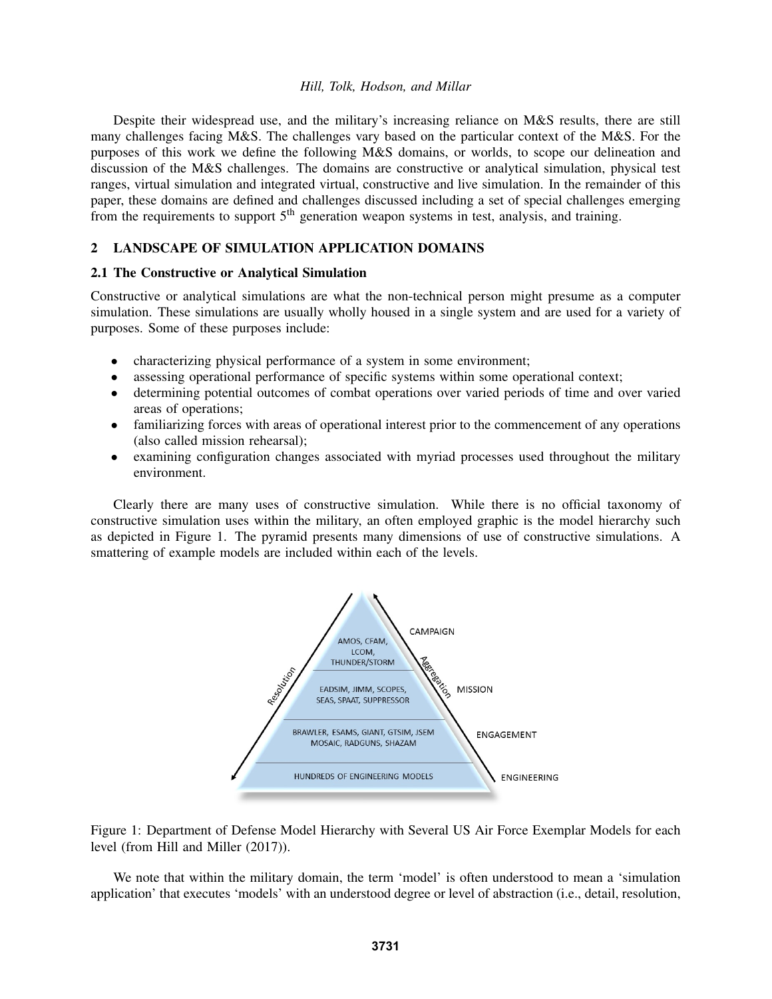Despite their widespread use, and the military's increasing reliance on M&S results, there are still many challenges facing M&S. The challenges vary based on the particular context of the M&S. For the purposes of this work we define the following M&S domains, or worlds, to scope our delineation and discussion of the M&S challenges. The domains are constructive or analytical simulation, physical test ranges, virtual simulation and integrated virtual, constructive and live simulation. In the remainder of this paper, these domains are defined and challenges discussed including a set of special challenges emerging from the requirements to support 5<sup>th</sup> generation weapon systems in test, analysis, and training.

## 2 LANDSCAPE OF SIMULATION APPLICATION DOMAINS

## 2.1 The Constructive or Analytical Simulation

Constructive or analytical simulations are what the non-technical person might presume as a computer simulation. These simulations are usually wholly housed in a single system and are used for a variety of purposes. Some of these purposes include:

- characterizing physical performance of a system in some environment;
- assessing operational performance of specific systems within some operational context;
- determining potential outcomes of combat operations over varied periods of time and over varied areas of operations;
- familiarizing forces with areas of operational interest prior to the commencement of any operations (also called mission rehearsal);
- examining configuration changes associated with myriad processes used throughout the military environment.

Clearly there are many uses of constructive simulation. While there is no official taxonomy of constructive simulation uses within the military, an often employed graphic is the model hierarchy such as depicted in Figure 1. The pyramid presents many dimensions of use of constructive simulations. A smattering of example models are included within each of the levels.



Figure 1: Department of Defense Model Hierarchy with Several US Air Force Exemplar Models for each level (from Hill and Miller (2017)).

We note that within the military domain, the term 'model' is often understood to mean a 'simulation application' that executes 'models' with an understood degree or level of abstraction (i.e., detail, resolution,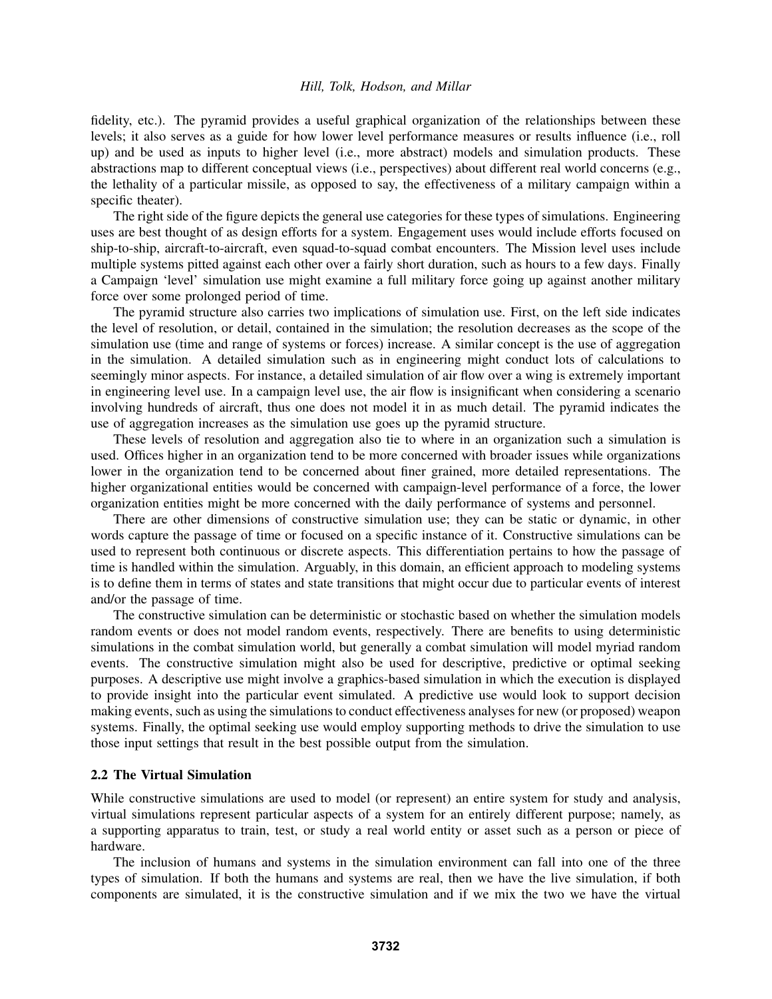fidelity, etc.). The pyramid provides a useful graphical organization of the relationships between these levels; it also serves as a guide for how lower level performance measures or results influence (i.e., roll up) and be used as inputs to higher level (i.e., more abstract) models and simulation products. These abstractions map to different conceptual views (i.e., perspectives) about different real world concerns (e.g., the lethality of a particular missile, as opposed to say, the effectiveness of a military campaign within a specific theater).

The right side of the figure depicts the general use categories for these types of simulations. Engineering uses are best thought of as design efforts for a system. Engagement uses would include efforts focused on ship-to-ship, aircraft-to-aircraft, even squad-to-squad combat encounters. The Mission level uses include multiple systems pitted against each other over a fairly short duration, such as hours to a few days. Finally a Campaign 'level' simulation use might examine a full military force going up against another military force over some prolonged period of time.

The pyramid structure also carries two implications of simulation use. First, on the left side indicates the level of resolution, or detail, contained in the simulation; the resolution decreases as the scope of the simulation use (time and range of systems or forces) increase. A similar concept is the use of aggregation in the simulation. A detailed simulation such as in engineering might conduct lots of calculations to seemingly minor aspects. For instance, a detailed simulation of air flow over a wing is extremely important in engineering level use. In a campaign level use, the air flow is insignificant when considering a scenario involving hundreds of aircraft, thus one does not model it in as much detail. The pyramid indicates the use of aggregation increases as the simulation use goes up the pyramid structure.

These levels of resolution and aggregation also tie to where in an organization such a simulation is used. Offices higher in an organization tend to be more concerned with broader issues while organizations lower in the organization tend to be concerned about finer grained, more detailed representations. The higher organizational entities would be concerned with campaign-level performance of a force, the lower organization entities might be more concerned with the daily performance of systems and personnel.

There are other dimensions of constructive simulation use; they can be static or dynamic, in other words capture the passage of time or focused on a specific instance of it. Constructive simulations can be used to represent both continuous or discrete aspects. This differentiation pertains to how the passage of time is handled within the simulation. Arguably, in this domain, an efficient approach to modeling systems is to define them in terms of states and state transitions that might occur due to particular events of interest and/or the passage of time.

The constructive simulation can be deterministic or stochastic based on whether the simulation models random events or does not model random events, respectively. There are benefits to using deterministic simulations in the combat simulation world, but generally a combat simulation will model myriad random events. The constructive simulation might also be used for descriptive, predictive or optimal seeking purposes. A descriptive use might involve a graphics-based simulation in which the execution is displayed to provide insight into the particular event simulated. A predictive use would look to support decision making events, such as using the simulations to conduct effectiveness analyses for new (or proposed) weapon systems. Finally, the optimal seeking use would employ supporting methods to drive the simulation to use those input settings that result in the best possible output from the simulation.

### 2.2 The Virtual Simulation

While constructive simulations are used to model (or represent) an entire system for study and analysis, virtual simulations represent particular aspects of a system for an entirely different purpose; namely, as a supporting apparatus to train, test, or study a real world entity or asset such as a person or piece of hardware.

The inclusion of humans and systems in the simulation environment can fall into one of the three types of simulation. If both the humans and systems are real, then we have the live simulation, if both components are simulated, it is the constructive simulation and if we mix the two we have the virtual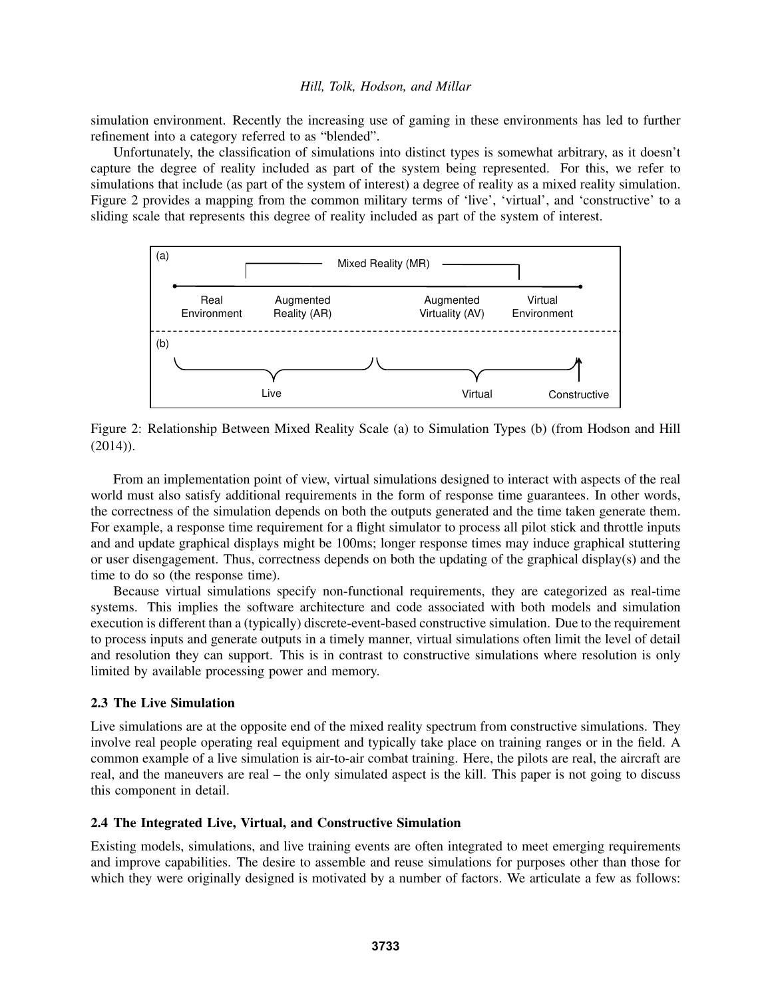simulation environment. Recently the increasing use of gaming in these environments has led to further refinement into a category referred to as "blended".

Unfortunately, the classification of simulations into distinct types is somewhat arbitrary, as it doesn't capture the degree of reality included as part of the system being represented. For this, we refer to simulations that include (as part of the system of interest) a degree of reality as a mixed reality simulation. Figure 2 provides a mapping from the common military terms of 'live', 'virtual', and 'constructive' to a sliding scale that represents this degree of reality included as part of the system of interest.



Figure 2: Relationship Between Mixed Reality Scale (a) to Simulation Types (b) (from Hodson and Hill  $(2014)$ ).

From an implementation point of view, virtual simulations designed to interact with aspects of the real world must also satisfy additional requirements in the form of response time guarantees. In other words, the correctness of the simulation depends on both the outputs generated and the time taken generate them. For example, a response time requirement for a flight simulator to process all pilot stick and throttle inputs and and update graphical displays might be 100ms; longer response times may induce graphical stuttering or user disengagement. Thus, correctness depends on both the updating of the graphical display(s) and the time to do so (the response time).

Because virtual simulations specify non-functional requirements, they are categorized as real-time systems. This implies the software architecture and code associated with both models and simulation execution is different than a (typically) discrete-event-based constructive simulation. Due to the requirement to process inputs and generate outputs in a timely manner, virtual simulations often limit the level of detail and resolution they can support. This is in contrast to constructive simulations where resolution is only limited by available processing power and memory.

## 2.3 The Live Simulation

Live simulations are at the opposite end of the mixed reality spectrum from constructive simulations. They involve real people operating real equipment and typically take place on training ranges or in the field. A common example of a live simulation is air-to-air combat training. Here, the pilots are real, the aircraft are real, and the maneuvers are real – the only simulated aspect is the kill. This paper is not going to discuss this component in detail.

## 2.4 The Integrated Live, Virtual, and Constructive Simulation

Existing models, simulations, and live training events are often integrated to meet emerging requirements and improve capabilities. The desire to assemble and reuse simulations for purposes other than those for which they were originally designed is motivated by a number of factors. We articulate a few as follows: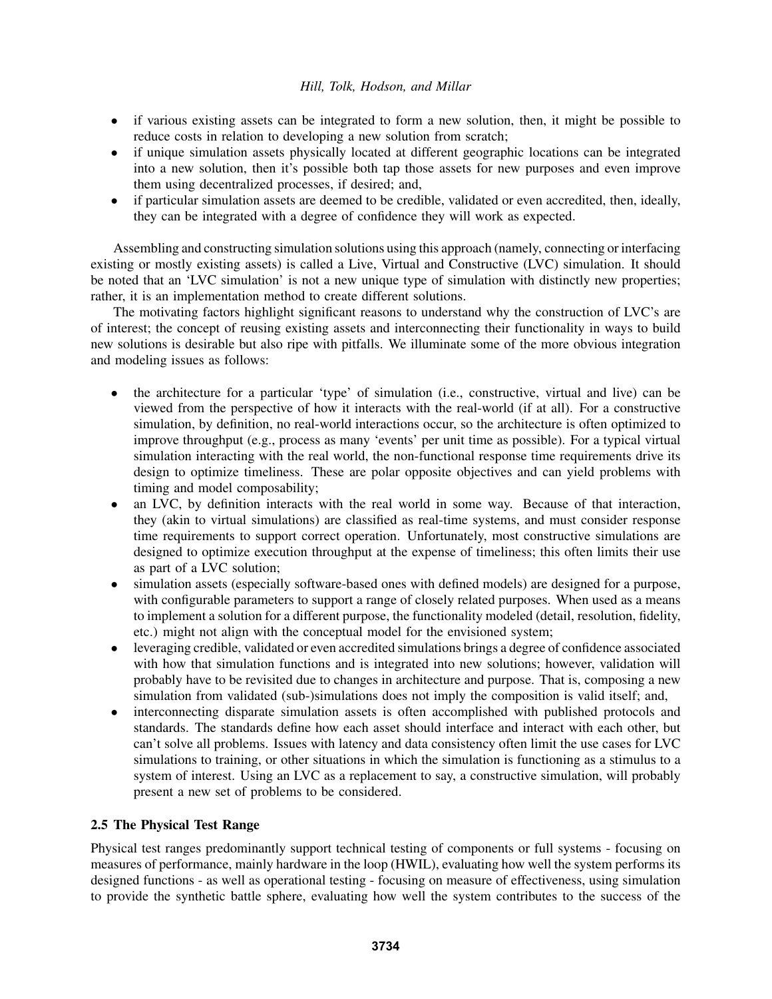- if various existing assets can be integrated to form a new solution, then, it might be possible to reduce costs in relation to developing a new solution from scratch;
- if unique simulation assets physically located at different geographic locations can be integrated into a new solution, then it's possible both tap those assets for new purposes and even improve them using decentralized processes, if desired; and,
- if particular simulation assets are deemed to be credible, validated or even accredited, then, ideally, they can be integrated with a degree of confidence they will work as expected.

Assembling and constructing simulation solutions using this approach (namely, connecting or interfacing existing or mostly existing assets) is called a Live, Virtual and Constructive (LVC) simulation. It should be noted that an 'LVC simulation' is not a new unique type of simulation with distinctly new properties; rather, it is an implementation method to create different solutions.

The motivating factors highlight significant reasons to understand why the construction of LVC's are of interest; the concept of reusing existing assets and interconnecting their functionality in ways to build new solutions is desirable but also ripe with pitfalls. We illuminate some of the more obvious integration and modeling issues as follows:

- the architecture for a particular 'type' of simulation (i.e., constructive, virtual and live) can be viewed from the perspective of how it interacts with the real-world (if at all). For a constructive simulation, by definition, no real-world interactions occur, so the architecture is often optimized to improve throughput (e.g., process as many 'events' per unit time as possible). For a typical virtual simulation interacting with the real world, the non-functional response time requirements drive its design to optimize timeliness. These are polar opposite objectives and can yield problems with timing and model composability;
- an LVC, by definition interacts with the real world in some way. Because of that interaction, they (akin to virtual simulations) are classified as real-time systems, and must consider response time requirements to support correct operation. Unfortunately, most constructive simulations are designed to optimize execution throughput at the expense of timeliness; this often limits their use as part of a LVC solution;
- simulation assets (especially software-based ones with defined models) are designed for a purpose, with configurable parameters to support a range of closely related purposes. When used as a means to implement a solution for a different purpose, the functionality modeled (detail, resolution, fidelity, etc.) might not align with the conceptual model for the envisioned system;
- leveraging credible, validated or even accredited simulations brings a degree of confidence associated with how that simulation functions and is integrated into new solutions; however, validation will probably have to be revisited due to changes in architecture and purpose. That is, composing a new simulation from validated (sub-)simulations does not imply the composition is valid itself; and,
- interconnecting disparate simulation assets is often accomplished with published protocols and standards. The standards define how each asset should interface and interact with each other, but can't solve all problems. Issues with latency and data consistency often limit the use cases for LVC simulations to training, or other situations in which the simulation is functioning as a stimulus to a system of interest. Using an LVC as a replacement to say, a constructive simulation, will probably present a new set of problems to be considered.

# 2.5 The Physical Test Range

Physical test ranges predominantly support technical testing of components or full systems - focusing on measures of performance, mainly hardware in the loop (HWIL), evaluating how well the system performs its designed functions - as well as operational testing - focusing on measure of effectiveness, using simulation to provide the synthetic battle sphere, evaluating how well the system contributes to the success of the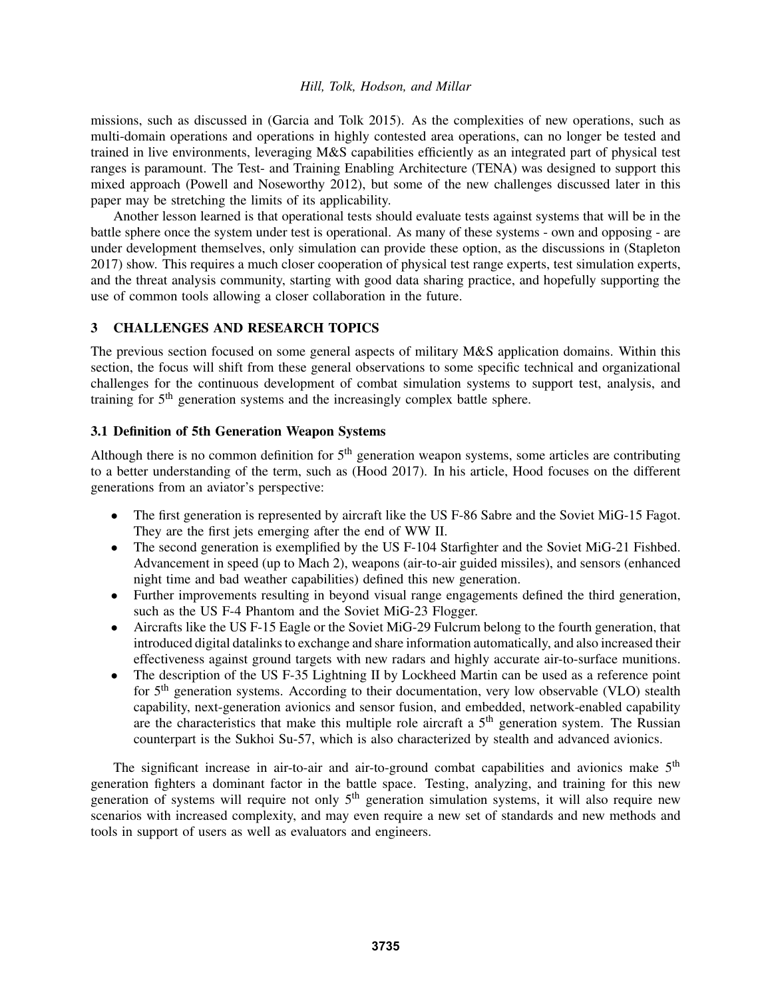missions, such as discussed in (Garcia and Tolk 2015). As the complexities of new operations, such as multi-domain operations and operations in highly contested area operations, can no longer be tested and trained in live environments, leveraging M&S capabilities efficiently as an integrated part of physical test ranges is paramount. The Test- and Training Enabling Architecture (TENA) was designed to support this mixed approach (Powell and Noseworthy 2012), but some of the new challenges discussed later in this paper may be stretching the limits of its applicability.

Another lesson learned is that operational tests should evaluate tests against systems that will be in the battle sphere once the system under test is operational. As many of these systems - own and opposing - are under development themselves, only simulation can provide these option, as the discussions in (Stapleton 2017) show. This requires a much closer cooperation of physical test range experts, test simulation experts, and the threat analysis community, starting with good data sharing practice, and hopefully supporting the use of common tools allowing a closer collaboration in the future.

# 3 CHALLENGES AND RESEARCH TOPICS

The previous section focused on some general aspects of military M&S application domains. Within this section, the focus will shift from these general observations to some specific technical and organizational challenges for the continuous development of combat simulation systems to support test, analysis, and training for 5<sup>th</sup> generation systems and the increasingly complex battle sphere.

## 3.1 Definition of 5th Generation Weapon Systems

Although there is no common definition for  $5<sup>th</sup>$  generation weapon systems, some articles are contributing to a better understanding of the term, such as (Hood 2017). In his article, Hood focuses on the different generations from an aviator's perspective:

- The first generation is represented by aircraft like the US F-86 Sabre and the Soviet MiG-15 Fagot. They are the first jets emerging after the end of WW II.
- The second generation is exemplified by the US F-104 Starfighter and the Soviet MiG-21 Fishbed. Advancement in speed (up to Mach 2), weapons (air-to-air guided missiles), and sensors (enhanced night time and bad weather capabilities) defined this new generation.
- Further improvements resulting in beyond visual range engagements defined the third generation, such as the US F-4 Phantom and the Soviet MiG-23 Flogger.
- Aircrafts like the US F-15 Eagle or the Soviet MiG-29 Fulcrum belong to the fourth generation, that introduced digital datalinks to exchange and share information automatically, and also increased their effectiveness against ground targets with new radars and highly accurate air-to-surface munitions.
- The description of the US F-35 Lightning II by Lockheed Martin can be used as a reference point for 5<sup>th</sup> generation systems. According to their documentation, very low observable (VLO) stealth capability, next-generation avionics and sensor fusion, and embedded, network-enabled capability are the characteristics that make this multiple role aircraft a  $5<sup>th</sup>$  generation system. The Russian counterpart is the Sukhoi Su-57, which is also characterized by stealth and advanced avionics.

The significant increase in air-to-air and air-to-ground combat capabilities and avionics make  $5<sup>th</sup>$ generation fighters a dominant factor in the battle space. Testing, analyzing, and training for this new generation of systems will require not only  $5<sup>th</sup>$  generation simulation systems, it will also require new scenarios with increased complexity, and may even require a new set of standards and new methods and tools in support of users as well as evaluators and engineers.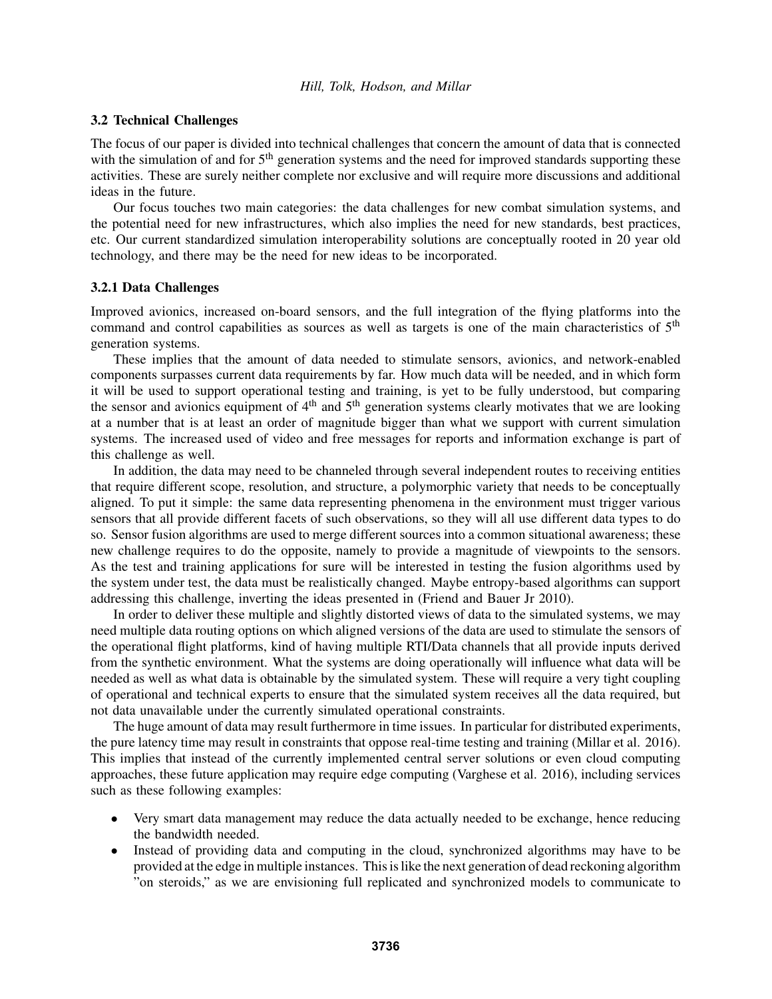### 3.2 Technical Challenges

The focus of our paper is divided into technical challenges that concern the amount of data that is connected with the simulation of and for 5<sup>th</sup> generation systems and the need for improved standards supporting these activities. These are surely neither complete nor exclusive and will require more discussions and additional ideas in the future.

Our focus touches two main categories: the data challenges for new combat simulation systems, and the potential need for new infrastructures, which also implies the need for new standards, best practices, etc. Our current standardized simulation interoperability solutions are conceptually rooted in 20 year old technology, and there may be the need for new ideas to be incorporated.

## 3.2.1 Data Challenges

Improved avionics, increased on-board sensors, and the full integration of the flying platforms into the command and control capabilities as sources as well as targets is one of the main characteristics of 5th generation systems.

These implies that the amount of data needed to stimulate sensors, avionics, and network-enabled components surpasses current data requirements by far. How much data will be needed, and in which form it will be used to support operational testing and training, is yet to be fully understood, but comparing the sensor and avionics equipment of  $4<sup>th</sup>$  and  $5<sup>th</sup>$  generation systems clearly motivates that we are looking at a number that is at least an order of magnitude bigger than what we support with current simulation systems. The increased used of video and free messages for reports and information exchange is part of this challenge as well.

In addition, the data may need to be channeled through several independent routes to receiving entities that require different scope, resolution, and structure, a polymorphic variety that needs to be conceptually aligned. To put it simple: the same data representing phenomena in the environment must trigger various sensors that all provide different facets of such observations, so they will all use different data types to do so. Sensor fusion algorithms are used to merge different sources into a common situational awareness; these new challenge requires to do the opposite, namely to provide a magnitude of viewpoints to the sensors. As the test and training applications for sure will be interested in testing the fusion algorithms used by the system under test, the data must be realistically changed. Maybe entropy-based algorithms can support addressing this challenge, inverting the ideas presented in (Friend and Bauer Jr 2010).

In order to deliver these multiple and slightly distorted views of data to the simulated systems, we may need multiple data routing options on which aligned versions of the data are used to stimulate the sensors of the operational flight platforms, kind of having multiple RTI/Data channels that all provide inputs derived from the synthetic environment. What the systems are doing operationally will influence what data will be needed as well as what data is obtainable by the simulated system. These will require a very tight coupling of operational and technical experts to ensure that the simulated system receives all the data required, but not data unavailable under the currently simulated operational constraints.

The huge amount of data may result furthermore in time issues. In particular for distributed experiments, the pure latency time may result in constraints that oppose real-time testing and training (Millar et al. 2016). This implies that instead of the currently implemented central server solutions or even cloud computing approaches, these future application may require edge computing (Varghese et al. 2016), including services such as these following examples:

- Very smart data management may reduce the data actually needed to be exchange, hence reducing the bandwidth needed.
- Instead of providing data and computing in the cloud, synchronized algorithms may have to be provided at the edge in multiple instances. This is like the next generation of dead reckoning algorithm "on steroids," as we are envisioning full replicated and synchronized models to communicate to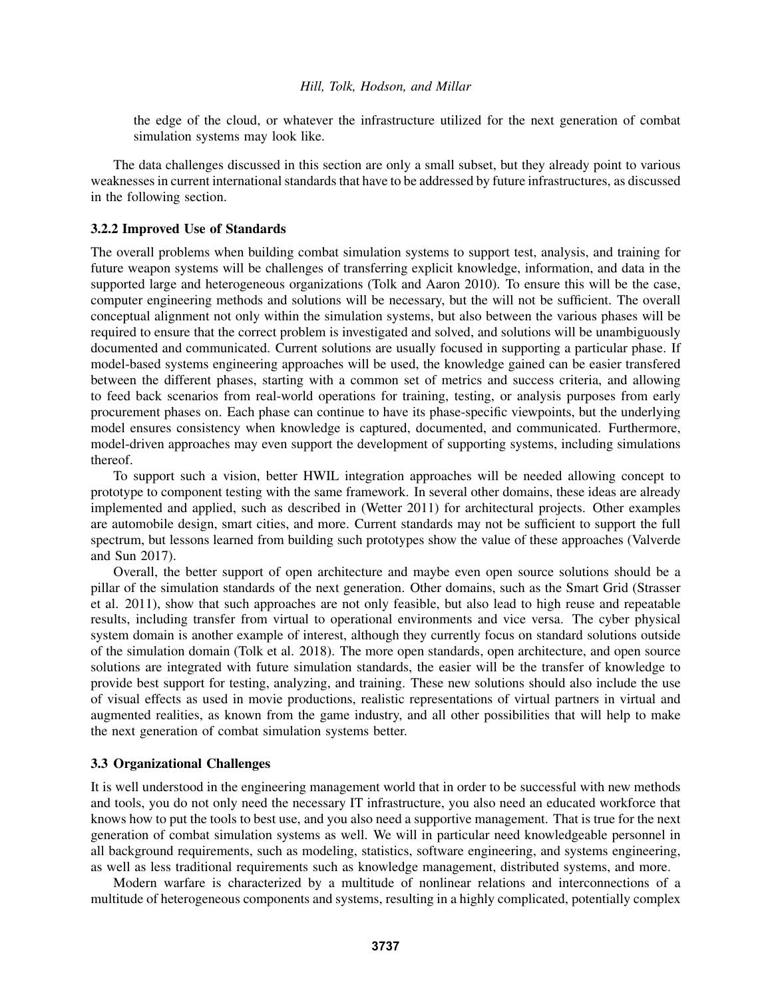the edge of the cloud, or whatever the infrastructure utilized for the next generation of combat simulation systems may look like.

The data challenges discussed in this section are only a small subset, but they already point to various weaknesses in current international standards that have to be addressed by future infrastructures, as discussed in the following section.

### 3.2.2 Improved Use of Standards

The overall problems when building combat simulation systems to support test, analysis, and training for future weapon systems will be challenges of transferring explicit knowledge, information, and data in the supported large and heterogeneous organizations (Tolk and Aaron 2010). To ensure this will be the case, computer engineering methods and solutions will be necessary, but the will not be sufficient. The overall conceptual alignment not only within the simulation systems, but also between the various phases will be required to ensure that the correct problem is investigated and solved, and solutions will be unambiguously documented and communicated. Current solutions are usually focused in supporting a particular phase. If model-based systems engineering approaches will be used, the knowledge gained can be easier transfered between the different phases, starting with a common set of metrics and success criteria, and allowing to feed back scenarios from real-world operations for training, testing, or analysis purposes from early procurement phases on. Each phase can continue to have its phase-specific viewpoints, but the underlying model ensures consistency when knowledge is captured, documented, and communicated. Furthermore, model-driven approaches may even support the development of supporting systems, including simulations thereof.

To support such a vision, better HWIL integration approaches will be needed allowing concept to prototype to component testing with the same framework. In several other domains, these ideas are already implemented and applied, such as described in (Wetter 2011) for architectural projects. Other examples are automobile design, smart cities, and more. Current standards may not be sufficient to support the full spectrum, but lessons learned from building such prototypes show the value of these approaches (Valverde and Sun 2017).

Overall, the better support of open architecture and maybe even open source solutions should be a pillar of the simulation standards of the next generation. Other domains, such as the Smart Grid (Strasser et al. 2011), show that such approaches are not only feasible, but also lead to high reuse and repeatable results, including transfer from virtual to operational environments and vice versa. The cyber physical system domain is another example of interest, although they currently focus on standard solutions outside of the simulation domain (Tolk et al. 2018). The more open standards, open architecture, and open source solutions are integrated with future simulation standards, the easier will be the transfer of knowledge to provide best support for testing, analyzing, and training. These new solutions should also include the use of visual effects as used in movie productions, realistic representations of virtual partners in virtual and augmented realities, as known from the game industry, and all other possibilities that will help to make the next generation of combat simulation systems better.

# 3.3 Organizational Challenges

It is well understood in the engineering management world that in order to be successful with new methods and tools, you do not only need the necessary IT infrastructure, you also need an educated workforce that knows how to put the tools to best use, and you also need a supportive management. That is true for the next generation of combat simulation systems as well. We will in particular need knowledgeable personnel in all background requirements, such as modeling, statistics, software engineering, and systems engineering, as well as less traditional requirements such as knowledge management, distributed systems, and more.

Modern warfare is characterized by a multitude of nonlinear relations and interconnections of a multitude of heterogeneous components and systems, resulting in a highly complicated, potentially complex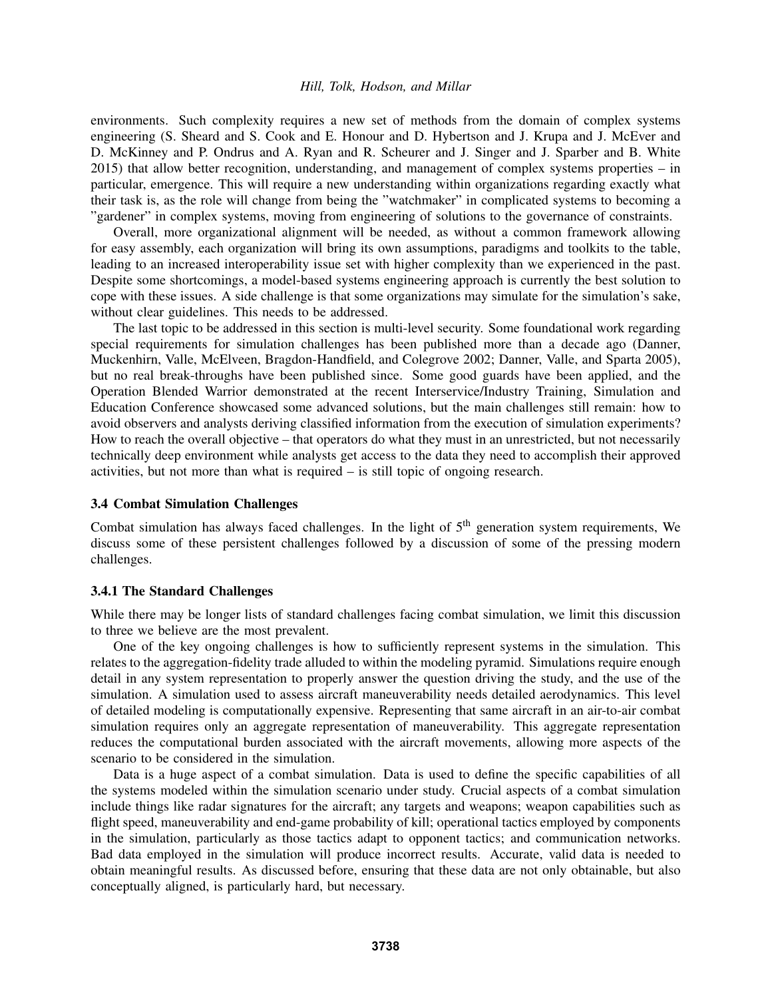environments. Such complexity requires a new set of methods from the domain of complex systems engineering (S. Sheard and S. Cook and E. Honour and D. Hybertson and J. Krupa and J. McEver and D. McKinney and P. Ondrus and A. Ryan and R. Scheurer and J. Singer and J. Sparber and B. White 2015) that allow better recognition, understanding, and management of complex systems properties – in particular, emergence. This will require a new understanding within organizations regarding exactly what their task is, as the role will change from being the "watchmaker" in complicated systems to becoming a "gardener" in complex systems, moving from engineering of solutions to the governance of constraints.

Overall, more organizational alignment will be needed, as without a common framework allowing for easy assembly, each organization will bring its own assumptions, paradigms and toolkits to the table, leading to an increased interoperability issue set with higher complexity than we experienced in the past. Despite some shortcomings, a model-based systems engineering approach is currently the best solution to cope with these issues. A side challenge is that some organizations may simulate for the simulation's sake, without clear guidelines. This needs to be addressed.

The last topic to be addressed in this section is multi-level security. Some foundational work regarding special requirements for simulation challenges has been published more than a decade ago (Danner, Muckenhirn, Valle, McElveen, Bragdon-Handfield, and Colegrove 2002; Danner, Valle, and Sparta 2005), but no real break-throughs have been published since. Some good guards have been applied, and the Operation Blended Warrior demonstrated at the recent Interservice/Industry Training, Simulation and Education Conference showcased some advanced solutions, but the main challenges still remain: how to avoid observers and analysts deriving classified information from the execution of simulation experiments? How to reach the overall objective – that operators do what they must in an unrestricted, but not necessarily technically deep environment while analysts get access to the data they need to accomplish their approved activities, but not more than what is required – is still topic of ongoing research.

#### 3.4 Combat Simulation Challenges

Combat simulation has always faced challenges. In the light of  $5<sup>th</sup>$  generation system requirements, We discuss some of these persistent challenges followed by a discussion of some of the pressing modern challenges.

#### 3.4.1 The Standard Challenges

While there may be longer lists of standard challenges facing combat simulation, we limit this discussion to three we believe are the most prevalent.

One of the key ongoing challenges is how to sufficiently represent systems in the simulation. This relates to the aggregation-fidelity trade alluded to within the modeling pyramid. Simulations require enough detail in any system representation to properly answer the question driving the study, and the use of the simulation. A simulation used to assess aircraft maneuverability needs detailed aerodynamics. This level of detailed modeling is computationally expensive. Representing that same aircraft in an air-to-air combat simulation requires only an aggregate representation of maneuverability. This aggregate representation reduces the computational burden associated with the aircraft movements, allowing more aspects of the scenario to be considered in the simulation.

Data is a huge aspect of a combat simulation. Data is used to define the specific capabilities of all the systems modeled within the simulation scenario under study. Crucial aspects of a combat simulation include things like radar signatures for the aircraft; any targets and weapons; weapon capabilities such as flight speed, maneuverability and end-game probability of kill; operational tactics employed by components in the simulation, particularly as those tactics adapt to opponent tactics; and communication networks. Bad data employed in the simulation will produce incorrect results. Accurate, valid data is needed to obtain meaningful results. As discussed before, ensuring that these data are not only obtainable, but also conceptually aligned, is particularly hard, but necessary.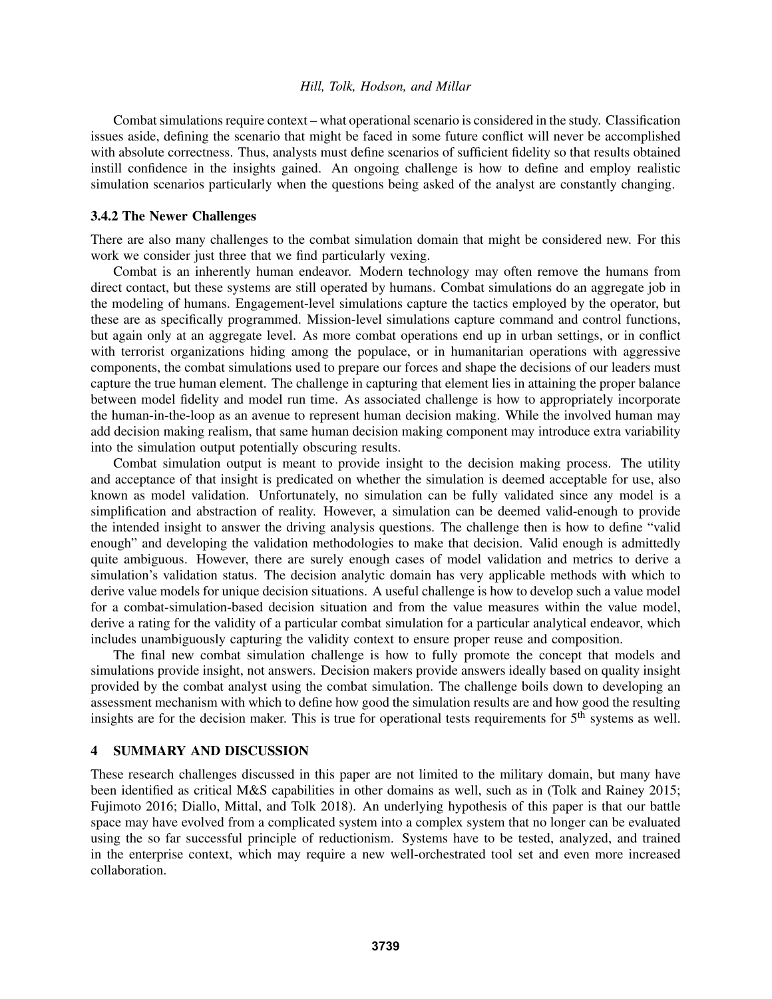Combat simulations require context – what operational scenario is considered in the study. Classification issues aside, defining the scenario that might be faced in some future conflict will never be accomplished with absolute correctness. Thus, analysts must define scenarios of sufficient fidelity so that results obtained instill confidence in the insights gained. An ongoing challenge is how to define and employ realistic simulation scenarios particularly when the questions being asked of the analyst are constantly changing.

#### 3.4.2 The Newer Challenges

There are also many challenges to the combat simulation domain that might be considered new. For this work we consider just three that we find particularly vexing.

Combat is an inherently human endeavor. Modern technology may often remove the humans from direct contact, but these systems are still operated by humans. Combat simulations do an aggregate job in the modeling of humans. Engagement-level simulations capture the tactics employed by the operator, but these are as specifically programmed. Mission-level simulations capture command and control functions, but again only at an aggregate level. As more combat operations end up in urban settings, or in conflict with terrorist organizations hiding among the populace, or in humanitarian operations with aggressive components, the combat simulations used to prepare our forces and shape the decisions of our leaders must capture the true human element. The challenge in capturing that element lies in attaining the proper balance between model fidelity and model run time. As associated challenge is how to appropriately incorporate the human-in-the-loop as an avenue to represent human decision making. While the involved human may add decision making realism, that same human decision making component may introduce extra variability into the simulation output potentially obscuring results.

Combat simulation output is meant to provide insight to the decision making process. The utility and acceptance of that insight is predicated on whether the simulation is deemed acceptable for use, also known as model validation. Unfortunately, no simulation can be fully validated since any model is a simplification and abstraction of reality. However, a simulation can be deemed valid-enough to provide the intended insight to answer the driving analysis questions. The challenge then is how to define "valid enough" and developing the validation methodologies to make that decision. Valid enough is admittedly quite ambiguous. However, there are surely enough cases of model validation and metrics to derive a simulation's validation status. The decision analytic domain has very applicable methods with which to derive value models for unique decision situations. A useful challenge is how to develop such a value model for a combat-simulation-based decision situation and from the value measures within the value model, derive a rating for the validity of a particular combat simulation for a particular analytical endeavor, which includes unambiguously capturing the validity context to ensure proper reuse and composition.

The final new combat simulation challenge is how to fully promote the concept that models and simulations provide insight, not answers. Decision makers provide answers ideally based on quality insight provided by the combat analyst using the combat simulation. The challenge boils down to developing an assessment mechanism with which to define how good the simulation results are and how good the resulting insights are for the decision maker. This is true for operational tests requirements for 5<sup>th</sup> systems as well.

# 4 SUMMARY AND DISCUSSION

These research challenges discussed in this paper are not limited to the military domain, but many have been identified as critical M&S capabilities in other domains as well, such as in (Tolk and Rainey 2015; Fujimoto 2016; Diallo, Mittal, and Tolk 2018). An underlying hypothesis of this paper is that our battle space may have evolved from a complicated system into a complex system that no longer can be evaluated using the so far successful principle of reductionism. Systems have to be tested, analyzed, and trained in the enterprise context, which may require a new well-orchestrated tool set and even more increased collaboration.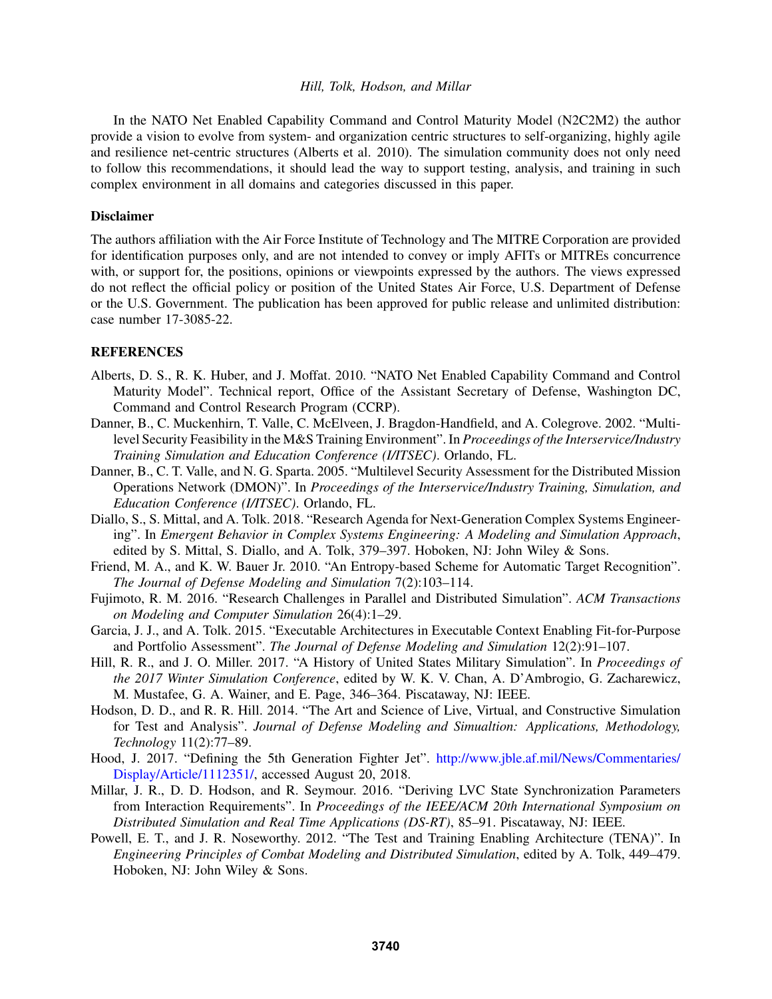In the NATO Net Enabled Capability Command and Control Maturity Model (N2C2M2) the author provide a vision to evolve from system- and organization centric structures to self-organizing, highly agile and resilience net-centric structures (Alberts et al. 2010). The simulation community does not only need to follow this recommendations, it should lead the way to support testing, analysis, and training in such complex environment in all domains and categories discussed in this paper.

### Disclaimer

The authors affiliation with the Air Force Institute of Technology and The MITRE Corporation are provided for identification purposes only, and are not intended to convey or imply AFITs or MITREs concurrence with, or support for, the positions, opinions or viewpoints expressed by the authors. The views expressed do not reflect the official policy or position of the United States Air Force, U.S. Department of Defense or the U.S. Government. The publication has been approved for public release and unlimited distribution: case number 17-3085-22.

### REFERENCES

- Alberts, D. S., R. K. Huber, and J. Moffat. 2010. "NATO Net Enabled Capability Command and Control Maturity Model". Technical report, Office of the Assistant Secretary of Defense, Washington DC, Command and Control Research Program (CCRP).
- Danner, B., C. Muckenhirn, T. Valle, C. McElveen, J. Bragdon-Handfield, and A. Colegrove. 2002. "Multilevel Security Feasibility in the M&S Training Environment". In *Proceedings of the Interservice/Industry Training Simulation and Education Conference (I/ITSEC)*. Orlando, FL.
- Danner, B., C. T. Valle, and N. G. Sparta. 2005. "Multilevel Security Assessment for the Distributed Mission Operations Network (DMON)". In *Proceedings of the Interservice/Industry Training, Simulation, and Education Conference (I/ITSEC)*. Orlando, FL.
- Diallo, S., S. Mittal, and A. Tolk. 2018. "Research Agenda for Next-Generation Complex Systems Engineering". In *Emergent Behavior in Complex Systems Engineering: A Modeling and Simulation Approach*, edited by S. Mittal, S. Diallo, and A. Tolk, 379–397. Hoboken, NJ: John Wiley & Sons.
- Friend, M. A., and K. W. Bauer Jr. 2010. "An Entropy-based Scheme for Automatic Target Recognition". *The Journal of Defense Modeling and Simulation* 7(2):103–114.
- Fujimoto, R. M. 2016. "Research Challenges in Parallel and Distributed Simulation". *ACM Transactions on Modeling and Computer Simulation* 26(4):1–29.
- Garcia, J. J., and A. Tolk. 2015. "Executable Architectures in Executable Context Enabling Fit-for-Purpose and Portfolio Assessment". *The Journal of Defense Modeling and Simulation* 12(2):91–107.
- Hill, R. R., and J. O. Miller. 2017. "A History of United States Military Simulation". In *Proceedings of the 2017 Winter Simulation Conference*, edited by W. K. V. Chan, A. D'Ambrogio, G. Zacharewicz, M. Mustafee, G. A. Wainer, and E. Page, 346–364. Piscataway, NJ: IEEE.
- Hodson, D. D., and R. R. Hill. 2014. "The Art and Science of Live, Virtual, and Constructive Simulation for Test and Analysis". *Journal of Defense Modeling and Simualtion: Applications, Methodology, Technology* 11(2):77–89.
- Hood, J. 2017. "Defining the 5th Generation Fighter Jet". http://www.jble.af.mil/News/Commentaries/ Display/Article/1112351/, accessed August 20, 2018.
- Millar, J. R., D. D. Hodson, and R. Seymour. 2016. "Deriving LVC State Synchronization Parameters from Interaction Requirements". In *Proceedings of the IEEE/ACM 20th International Symposium on Distributed Simulation and Real Time Applications (DS-RT)*, 85–91. Piscataway, NJ: IEEE.
- Powell, E. T., and J. R. Noseworthy. 2012. "The Test and Training Enabling Architecture (TENA)". In *Engineering Principles of Combat Modeling and Distributed Simulation*, edited by A. Tolk, 449–479. Hoboken, NJ: John Wiley & Sons.